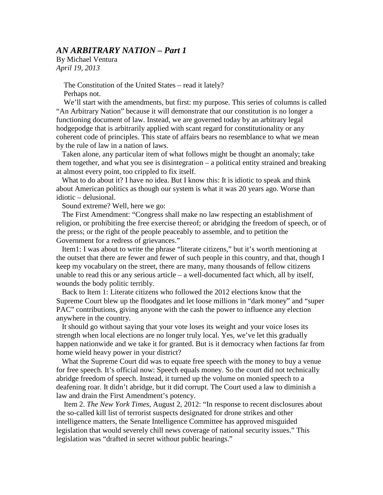By Michael Ventura *April 19, 2013*

> The Constitution of the United States – read it lately? Perhaps not.

 We'll start with the amendments, but first: my purpose. This series of columns is called "An Arbitrary Nation" because it will demonstrate that our constitution is no longer a functioning document of law. Instead, we are governed today by an arbitrary legal hodgepodge that is arbitrarily applied with scant regard for constitutionality or any coherent code of principles. This state of affairs bears no resemblance to what we mean by the rule of law in a nation of laws.

 Taken alone, any particular item of what follows might be thought an anomaly; take them together, and what you see is disintegration – a political entity strained and breaking at almost every point, too crippled to fix itself.

What to do about it? I have no idea. But I know this: It is idiotic to speak and think about American politics as though our system is what it was 20 years ago. Worse than idiotic – delusional.

Sound extreme? Well, here we go:

 The First Amendment: "Congress shall make no law respecting an establishment of religion, or prohibiting the free exercise thereof; or abridging the freedom of speech, or of the press; or the right of the people peaceably to assemble, and to petition the Government for a redress of grievances."

 Item1: I was about to write the phrase "literate citizens," but it's worth mentioning at the outset that there are fewer and fewer of such people in this country, and that, though I keep my vocabulary on the street, there are many, many thousands of fellow citizens unable to read this or any serious article – a well-documented fact which, all by itself, wounds the body politic terribly.

 Back to Item 1: Literate citizens who followed the 2012 elections know that the Supreme Court blew up the floodgates and let loose millions in "dark money" and "super PAC" contributions, giving anyone with the cash the power to influence any election anywhere in the country.

 It should go without saying that your vote loses its weight and your voice loses its strength when local elections are no longer truly local. Yes, we've let this gradually happen nationwide and we take it for granted. But is it democracy when factions far from home wield heavy power in your district?

 What the Supreme Court did was to equate free speech with the money to buy a venue for free speech. It's official now: Speech equals money. So the court did not technically abridge freedom of speech. Instead, it turned up the volume on monied speech to a deafening roar. It didn't abridge, but it did corrupt. The Court used a law to diminish a law and drain the First Amendment's potency.

 Item 2. *The New York Times,* August 2, 2012: "In response to recent disclosures about the so-called kill list of terrorist suspects designated for drone strikes and other intelligence matters, the Senate Intelligence Committee has approved misguided legislation that would severely chill news coverage of national security issues." This legislation was "drafted in secret without public hearings."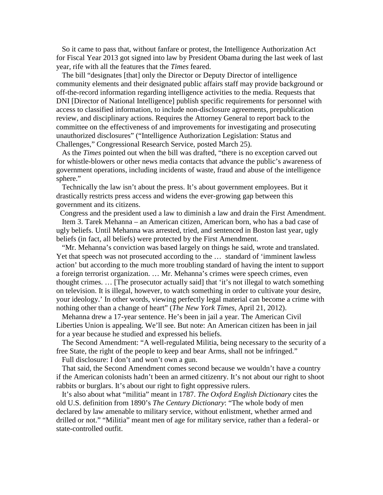So it came to pass that, without fanfare or protest, the Intelligence Authorization Act for Fiscal Year 2013 got signed into law by President Obama during the last week of last year, rife with all the features that the *Times* feared.

 The bill "designates [that] only the Director or Deputy Director of intelligence community elements and their designated public affairs staff may provide background or off-the-record information regarding intelligence activities to the media. Requests that DNI [Director of National Intelligence] publish specific requirements for personnel with access to classified information, to include non-disclosure agreements, prepublication review, and disciplinary actions. Requires the Attorney General to report back to the committee on the effectiveness of and improvements for investigating and prosecuting unauthorized disclosures" ("Intelligence Authorization Legislation: Status and Challenges," Congressional Research Service, posted March 25).

 As the *Times* pointed out when the bill was drafted, "there is no exception carved out for whistle-blowers or other news media contacts that advance the public's awareness of government operations, including incidents of waste, fraud and abuse of the intelligence sphere."

 Technically the law isn't about the press. It's about government employees. But it drastically restricts press access and widens the ever-growing gap between this government and its citizens.

Congress and the president used a law to diminish a law and drain the First Amendment. Item 3. Tarek Mehanna – an American citizen, American born, who has a bad case of ugly beliefs. Until Mehanna was arrested, tried, and sentenced in Boston last year, ugly beliefs (in fact, all beliefs) were protected by the First Amendment.

 "Mr. Mehanna's conviction was based largely on things he said, wrote and translated. Yet that speech was not prosecuted according to the … standard of 'imminent lawless action' but according to the much more troubling standard of having the intent to support a foreign terrorist organization. … Mr. Mehanna's crimes were speech crimes, even thought crimes. … [The prosecutor actually said] that 'it's not illegal to watch something on television. It is illegal, however, to watch something in order to cultivate your desire, your ideology.' In other words, viewing perfectly legal material can become a crime with nothing other than a change of heart" (*The New York Times,* April 21, 2012).

 Mehanna drew a 17-year sentence. He's been in jail a year. The American Civil Liberties Union is appealing. We'll see. But note: An American citizen has been in jail for a year because he studied and expressed his beliefs.

 The Second Amendment: "A well-regulated Militia, being necessary to the security of a free State, the right of the people to keep and bear Arms, shall not be infringed."

Full disclosure: I don't and won't own a gun.

 That said, the Second Amendment comes second because we wouldn't have a country if the American colonists hadn't been an armed citizenry. It's not about our right to shoot rabbits or burglars. It's about our right to fight oppressive rulers.

 It's also about what "militia" meant in 1787. *The Oxford English Dictionary* cites the old U.S. definition from 1890's *The Century Dictionary*: "The whole body of men declared by law amenable to military service, without enlistment, whether armed and drilled or not." "Militia" meant men of age for military service, rather than a federal- or state-controlled outfit.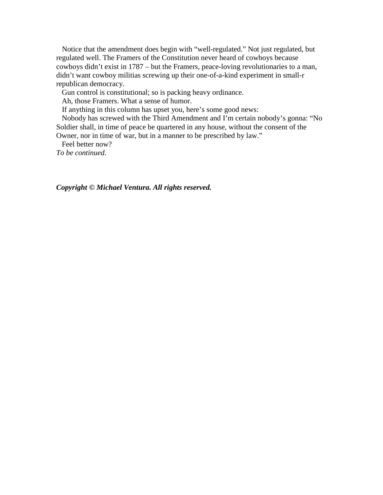Notice that the amendment does begin with "well-regulated." Not just regulated, but regulated well. The Framers of the Constitution never heard of cowboys because cowboys didn't exist in 1787 – but the Framers, peace-loving revolutionaries to a man, didn't want cowboy militias screwing up their one-of-a-kind experiment in small-r republican democracy.

Gun control is constitutional; so is packing heavy ordinance.

Ah, those Framers. What a sense of humor.

If anything in this column has upset you, here's some good news:

 Nobody has screwed with the Third Amendment and I'm certain nobody's gonna: "No Soldier shall, in time of peace be quartered in any house, without the consent of the Owner, nor in time of war, but in a manner to be prescribed by law."

 Feel better now? *To be continued.*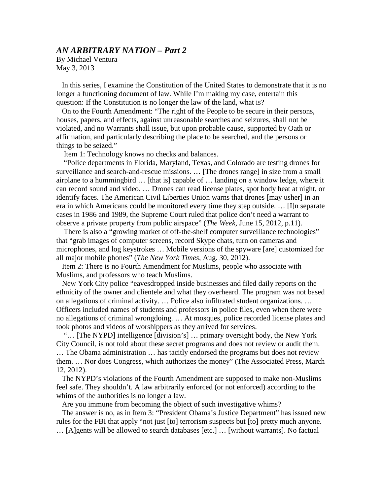By Michael Ventura May 3, 2013

 In this series, I examine the Constitution of the United States to demonstrate that it is no longer a functioning document of law. While I'm making my case, entertain this question: If the Constitution is no longer the law of the land, what is?

 On to the Fourth Amendment: "The right of the People to be secure in their persons, houses, papers, and effects, against unreasonable searches and seizures, shall not be violated, and no Warrants shall issue, but upon probable cause, supported by Oath or affirmation, and particularly describing the place to be searched, and the persons or things to be seized."

Item 1: Technology knows no checks and balances.

 "Police departments in Florida, Maryland, Texas, and Colorado are testing drones for surveillance and search-and-rescue missions. ... [The drones range] in size from a small airplane to a hummingbird … [that is] capable of … landing on a window ledge, where it can record sound and video. … Drones can read license plates, spot body heat at night, or identify faces. The American Civil Liberties Union warns that drones [may usher] in an era in which Americans could be monitored every time they step outside. … [I]n separate cases in 1986 and 1989, the Supreme Court ruled that police don't need a warrant to observe a private property from public airspace" (*The Week,* June 15, 2012, p.11).

 There is also a "growing market of off-the-shelf computer surveillance technologies" that "grab images of computer screens, record Skype chats, turn on cameras and microphones, and log keystrokes … Mobile versions of the spyware [are] customized for all major mobile phones" (*The New York Times,* Aug. 30, 2012).

 Item 2: There is no Fourth Amendment for Muslims, people who associate with Muslims, and professors who teach Muslims.

 New York City police "eavesdropped inside businesses and filed daily reports on the ethnicity of the owner and clientele and what they overheard. The program was not based on allegations of criminal activity. … Police also infiltrated student organizations. … Officers included names of students and professors in police files, even when there were no allegations of criminal wrongdoing. … At mosques, police recorded license plates and took photos and videos of worshippers as they arrived for services.

 "… [The NYPD] intelligence [division's] … primary oversight body, the New York City Council, is not told about these secret programs and does not review or audit them. … The Obama administration … has tacitly endorsed the programs but does not review them. … Nor does Congress, which authorizes the money" (The Associated Press, March 12, 2012).

 The NYPD's violations of the Fourth Amendment are supposed to make non-Muslims feel safe. They shouldn't. A law arbitrarily enforced (or not enforced) according to the whims of the authorities is no longer a law.

Are you immune from becoming the object of such investigative whims?

 The answer is no, as in Item 3: "President Obama's Justice Department" has issued new rules for the FBI that apply "not just [to] terrorism suspects but [to] pretty much anyone. … [A]gents will be allowed to search databases [etc.] … [without warrants]. No factual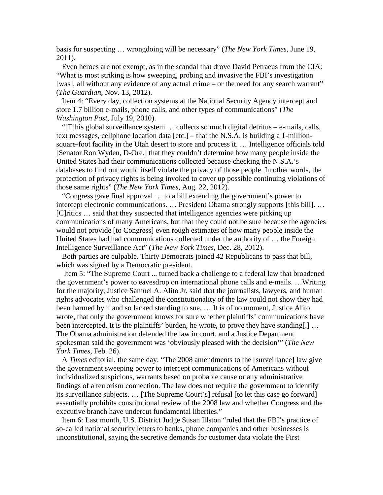basis for suspecting … wrongdoing will be necessary" (*The New York Times,* June 19, 2011).

 Even heroes are not exempt, as in the scandal that drove David Petraeus from the CIA: "What is most striking is how sweeping, probing and invasive the FBI's investigation [was], all without any evidence of any actual crime – or the need for any search warrant" (*The Guardian,* Nov. 13, 2012).

 Item 4: "Every day, collection systems at the National Security Agency intercept and store 1.7 billion e-mails, phone calls, and other types of communications" (*The Washington Post,* July 19, 2010).

 "[T]his global surveillance system … collects so much digital detritus – e-mails, calls, text messages, cellphone location data [etc.] – that the N.S.A. is building a 1-millionsquare-foot facility in the Utah desert to store and process it. … Intelligence officials told [Senator Ron Wyden, D-Ore.] that they couldn't determine how many people inside the United States had their communications collected because checking the N.S.A.'s databases to find out would itself violate the privacy of those people. In other words, the protection of privacy rights is being invoked to cover up possible continuing violations of those same rights" (*The New York Times,* Aug. 22, 2012).

 "Congress gave final approval … to a bill extending the government's power to intercept electronic communications. ... President Obama strongly supports [this bill]. ... [C]ritics … said that they suspected that intelligence agencies were picking up communications of many Americans, but that they could not be sure because the agencies would not provide [to Congress] even rough estimates of how many people inside the United States had had communications collected under the authority of … the Foreign Intelligence Surveillance Act" (*The New York Times,* Dec. 28, 2012).

 Both parties are culpable. Thirty Democrats joined 42 Republicans to pass that bill, which was signed by a Democratic president.

 Item 5: "The Supreme Court ... turned back a challenge to a federal law that broadened the government's power to eavesdrop on international phone calls and e-mails. …Writing for the majority, Justice Samuel A. Alito Jr. said that the journalists, lawyers, and human rights advocates who challenged the constitutionality of the law could not show they had been harmed by it and so lacked standing to sue. … It is of no moment, Justice Alito wrote, that only the government knows for sure whether plaintiffs' communications have been intercepted. It is the plaintiffs' burden, he wrote, to prove they have standing[.] ... The Obama administration defended the law in court, and a Justice Department spokesman said the government was 'obviously pleased with the decision'" (*The New York Times,* Feb. 26).

 A *Times* editorial, the same day: "The 2008 amendments to the [surveillance] law give the government sweeping power to intercept communications of Americans without individualized suspicions, warrants based on probable cause or any administrative findings of a terrorism connection. The law does not require the government to identify its surveillance subjects. … [The Supreme Court's] refusal [to let this case go forward] essentially prohibits constitutional review of the 2008 law and whether Congress and the executive branch have undercut fundamental liberties."

 Item 6: Last month, U.S. District Judge Susan Illston "ruled that the FBI's practice of so-called national security letters to banks, phone companies and other businesses is unconstitutional, saying the secretive demands for customer data violate the First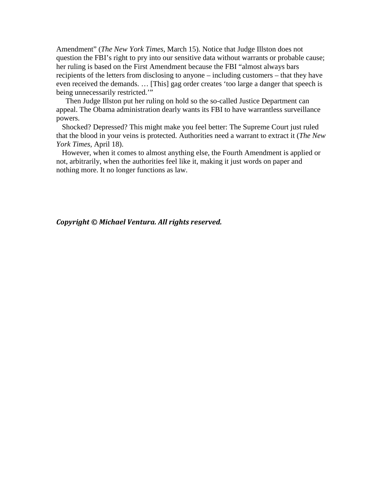Amendment" (*The New York Times,* March 15). Notice that Judge Illston does not question the FBI's right to pry into our sensitive data without warrants or probable cause; her ruling is based on the First Amendment because the FBI "almost always bars recipients of the letters from disclosing to anyone – including customers – that they have even received the demands. … [This] gag order creates 'too large a danger that speech is being unnecessarily restricted."

 Then Judge Illston put her ruling on hold so the so-called Justice Department can appeal. The Obama administration dearly wants its FBI to have warrantless surveillance powers.

 Shocked? Depressed? This might make you feel better: The Supreme Court just ruled that the blood in your veins is protected. Authorities need a warrant to extract it (*The New York Times,* April 18).

 However, when it comes to almost anything else, the Fourth Amendment is applied or not, arbitrarily, when the authorities feel like it, making it just words on paper and nothing more. It no longer functions as law.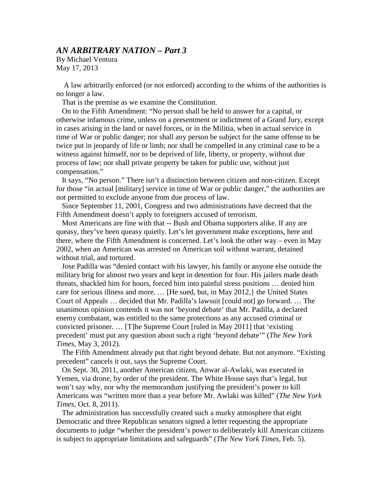By Michael Ventura May 17, 2013

 A law arbitrarily enforced (or not enforced) according to the whims of the authorities is no longer a law.

That is the premise as we examine the Constitution.

 On to the Fifth Amendment: "No person shall be held to answer for a capital, or otherwise infamous crime, unless on a presentment or indictment of a Grand Jury, except in cases arising in the land or navel forces, or in the Militia, when in actual service in time of War or public danger; nor shall any person be subject for the same offense to be twice put in jeopardy of life or limb; nor shall be compelled in any criminal case to be a witness against himself, nor to be deprived of life, liberty, or property, without due process of law; nor shall private property be taken for public use, without just compensation."

 It says, "No person." There isn't a distinction between citizen and non-citizen. Except for those "in actual [military] service in time of War or public danger," the authorities are not permitted to exclude anyone from due process of law.

 Since September 11, 2001, Congress and two administrations have decreed that the Fifth Amendment doesn't apply to foreigners accused of terrorism.

 Most Americans are fine with that -- Bush and Obama supporters alike. If any are queasy, they've been queasy quietly. Let's let government make exceptions, here and there, where the Fifth Amendment is concerned. Let's look the other way – even in May 2002, when an American was arrested on American soil without warrant, detained without trial, and tortured.

 Jose Padilla was "denied contact with his lawyer, his family or anyone else outside the military brig for almost two years and kept in detention for four. His jailers made death threats, shackled him for hours, forced him into painful stress positions … denied him care for serious illness and more. … [He sued, but, in May 2012,} the United States Court of Appeals … decided that Mr. Padilla's lawsuit [could not] go forward. … The unanimous opinion contends it was not 'beyond debate' that Mr. Padilla, a declared enemy combatant, was entitled to the same protections as any accused criminal or convicted prisoner. … [T]he Supreme Court [ruled in May 2011] that 'existing precedent' must put any question about such a right 'beyond debate'" (*The New York Times,* May 3, 2012).

 The Fifth Amendment already put that right beyond debate. But not anymore. "Existing precedent" cancels it out, says the Supreme Court.

 On Sept. 30, 2011, another American citizen, Anwar al-Awlaki, was executed in Yemen, via drone, by order of the president. The White House says that's legal, but won't say why, nor why the memorandum justifying the president's power to kill Americans was "written more than a year before Mr. Awlaki was killed" (*The New York Times,* Oct. 8, 2011).

 The administration has successfully created such a murky atmosphere that eight Democratic and three Republican senators signed a letter requesting the appropriate documents to judge "whether the president's power to deliberately kill American citizens is subject to appropriate limitations and safeguards" (*The New York Times,* Feb. 5).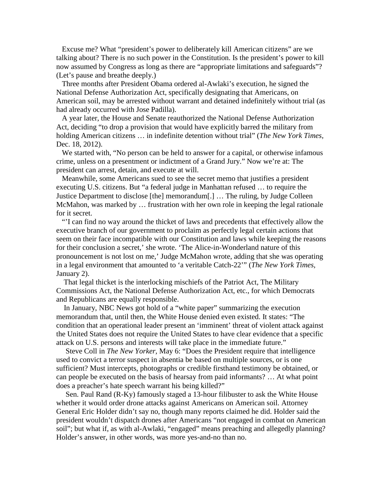Excuse me? What "president's power to deliberately kill American citizens" are we talking about? There is no such power in the Constitution. Is the president's power to kill now assumed by Congress as long as there are "appropriate limitations and safeguards"? (Let's pause and breathe deeply.)

 Three months after President Obama ordered al-Awlaki's execution, he signed the National Defense Authorization Act, specifically designating that Americans, on American soil, may be arrested without warrant and detained indefinitely without trial (as had already occurred with Jose Padilla).

 A year later, the House and Senate reauthorized the National Defense Authorization Act, deciding "to drop a provision that would have explicitly barred the military from holding American citizens … in indefinite detention without trial" (*The New York Times,*  Dec. 18, 2012).

 We started with, "No person can be held to answer for a capital, or otherwise infamous crime, unless on a presentment or indictment of a Grand Jury." Now we're at: The president can arrest, detain, and execute at will.

 Meanwhile, some Americans sued to see the secret memo that justifies a president executing U.S. citizens. But "a federal judge in Manhattan refused … to require the Justice Department to disclose [the] memorandum[.] … The ruling, by Judge Colleen McMahon, was marked by … frustration with her own role in keeping the legal rationale for it secret.

 "'I can find no way around the thicket of laws and precedents that effectively allow the executive branch of our government to proclaim as perfectly legal certain actions that seem on their face incompatible with our Constitution and laws while keeping the reasons for their conclusion a secret,' she wrote. 'The Alice-in-Wonderland nature of this pronouncement is not lost on me,' Judge McMahon wrote, adding that she was operating in a legal environment that amounted to 'a veritable Catch-22'" (*The New York Times,*  January 2).

 That legal thicket is the interlocking mischiefs of the Patriot Act, The Military Commissions Act, the National Defense Authorization Act, etc., for which Democrats and Republicans are equally responsible.

 In January, NBC News got hold of a "white paper" summarizing the execution memorandum that, until then, the White House denied even existed. It states: "The condition that an operational leader present an 'imminent' threat of violent attack against the United States does not require the United States to have clear evidence that a specific attack on U.S. persons and interests will take place in the immediate future."

 Steve Coll in *The New Yorker,* May 6: "Does the President require that intelligence used to convict a terror suspect in absentia be based on multiple sources, or is one sufficient? Must intercepts, photographs or credible firsthand testimony be obtained, or can people be executed on the basis of hearsay from paid informants? … At what point does a preacher's hate speech warrant his being killed?"

 Sen. Paul Rand (R-Ky) famously staged a 13-hour filibuster to ask the White House whether it would order drone attacks against Americans on American soil. Attorney General Eric Holder didn't say no, though many reports claimed he did. Holder said the president wouldn't dispatch drones after Americans "not engaged in combat on American soil"; but what if, as with al-Awlaki, "engaged" means preaching and allegedly planning? Holder's answer, in other words, was more yes-and-no than no.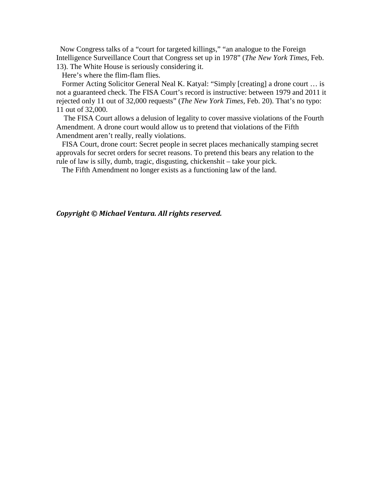Now Congress talks of a "court for targeted killings," "an analogue to the Foreign Intelligence Surveillance Court that Congress set up in 1978" (*The New York Times,* Feb. 13). The White House is seriously considering it.

Here's where the flim-flam flies.

 Former Acting Solicitor General Neal K. Katyal: "Simply [creating] a drone court … is not a guaranteed check. The FISA Court's record is instructive: between 1979 and 2011 it rejected only 11 out of 32,000 requests" (*The New York Times,* Feb. 20). That's no typo: 11 out of 32,000.

 The FISA Court allows a delusion of legality to cover massive violations of the Fourth Amendment. A drone court would allow us to pretend that violations of the Fifth Amendment aren't really, really violations.

 FISA Court, drone court: Secret people in secret places mechanically stamping secret approvals for secret orders for secret reasons. To pretend this bears any relation to the rule of law is silly, dumb, tragic, disgusting, chickenshit – take your pick.

The Fifth Amendment no longer exists as a functioning law of the land.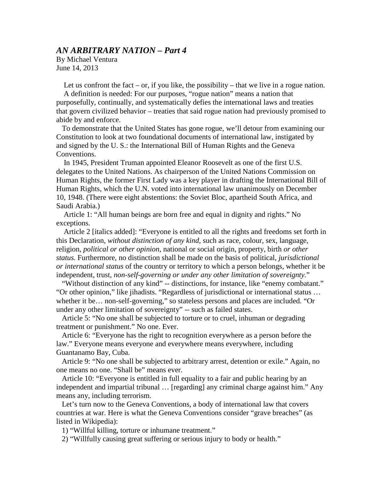By Michael Ventura June 14, 2013

Let us confront the fact – or, if you like, the possibility – that we live in a rogue nation.

 A definition is needed: For our purposes, "rogue nation" means a nation that purposefully, continually, and systematically defies the international laws and treaties that govern civilized behavior – treaties that said rogue nation had previously promised to abide by and enforce.

 To demonstrate that the United States has gone rogue, we'll detour from examining our Constitution to look at two foundational documents of international law, instigated by and signed by the U. S.: the International Bill of Human Rights and the Geneva Conventions.

 In 1945, President Truman appointed Eleanor Roosevelt as one of the first U.S. delegates to the United Nations. As chairperson of the United Nations Commission on Human Rights, the former First Lady was a key player in drafting the International Bill of Human Rights, which the U.N. voted into international law unanimously on December 10, 1948. (There were eight abstentions: the Soviet Bloc, apartheid South Africa, and Saudi Arabia.)

 Article 1: "All human beings are born free and equal in dignity and rights." No exceptions.

 Article 2 [italics added]: "Everyone is entitled to all the rights and freedoms set forth in this Declaration, *without distinction of any kind,* such as race, colour, sex, language, religion, *political or other opinion,* national or social origin, property, birth *or other status.* Furthermore, no distinction shall be made on the basis of political, *jurisdictional or international status* of the country or territory to which a person belongs, whether it be independent, trust, *non-self-governing or under any other limitation of sovereignty.*"

 "Without distinction of any kind" -- distinctions, for instance, like "enemy combatant." "Or other opinion," like jihadists. "Regardless of jurisdictional or international status … whether it be… non-self-governing," so stateless persons and places are included. "Or under any other limitation of sovereignty" -- such as failed states.

 Article 5: "No one shall be subjected to torture or to cruel, inhuman or degrading treatment or punishment." No one. Ever.

 Article 6: "Everyone has the right to recognition everywhere as a person before the law." Everyone means everyone and everywhere means everywhere, including Guantanamo Bay, Cuba.

 Article 9: "No one shall be subjected to arbitrary arrest, detention or exile." Again, no one means no one. "Shall be" means ever.

 Article 10: "Everyone is entitled in full equality to a fair and public hearing by an independent and impartial tribunal … [regarding] any criminal charge against him." Any means any, including terrorism.

 Let's turn now to the Geneva Conventions, a body of international law that covers countries at war. Here is what the Geneva Conventions consider "grave breaches" (as listed in Wikipedia):

1) "Willful killing, torture or inhumane treatment."

2) "Willfully causing great suffering or serious injury to body or health."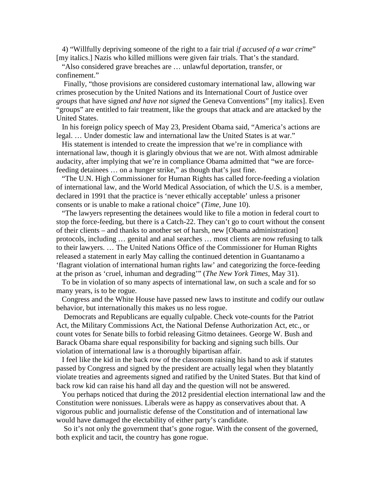4) "Willfully depriving someone of the right to a fair trial *if accused of a war crime*" [my italics.] Nazis who killed millions were given fair trials. That's the standard.

 "Also considered grave breaches are … unlawful deportation, transfer, or confinement."

 Finally, "those provisions are considered customary international law, allowing war crimes prosecution by the United Nations and its International Court of Justice over *groups* that have signed *and have not signed* the Geneva Conventions" [my italics]. Even "groups" are entitled to fair treatment, like the groups that attack and are attacked by the United States.

 In his foreign policy speech of May 23, President Obama said, "America's actions are legal. … Under domestic law and international law the United States is at war."

His statement is intended to create the impression that we're in compliance with international law, though it is glaringly obvious that we are not. With almost admirable audacity, after implying that we're in compliance Obama admitted that "we are forcefeeding detainees … on a hunger strike," as though that's just fine.

 "The U.N. High Commissioner for Human Rights has called force-feeding a violation of international law, and the World Medical Association, of which the U.S. is a member, declared in 1991 that the practice is 'never ethically acceptable' unless a prisoner consents or is unable to make a rational choice" (*Time,* June 10).

 "The lawyers representing the detainees would like to file a motion in federal court to stop the force-feeding, but there is a Catch-22. They can't go to court without the consent of their clients – and thanks to another set of harsh, new [Obama administration] protocols, including … genital and anal searches … most clients are now refusing to talk to their lawyers. … The United Nations Office of the Commissioner for Human Rights released a statement in early May calling the continued detention in Guantanamo a 'flagrant violation of international human rights law' and categorizing the force-feeding at the prison as 'cruel, inhuman and degrading'" (*The New York Times,* May 31).

 To be in violation of so many aspects of international law, on such a scale and for so many years, is to be rogue.

 Congress and the White House have passed new laws to institute and codify our outlaw behavior, but internationally this makes us no less rogue.

 Democrats and Republicans are equally culpable. Check vote-counts for the Patriot Act, the Military Commissions Act, the National Defense Authorization Act, etc., or count votes for Senate bills to forbid releasing Gitmo detainees. George W. Bush and Barack Obama share equal responsibility for backing and signing such bills. Our violation of international law is a thoroughly bipartisan affair.

 I feel like the kid in the back row of the classroom raising his hand to ask if statutes passed by Congress and signed by the president are actually legal when they blatantly violate treaties and agreements signed and ratified by the United States. But that kind of back row kid can raise his hand all day and the question will not be answered.

 You perhaps noticed that during the 2012 presidential election international law and the Constitution were nonissues. Liberals were as happy as conservatives about that. A vigorous public and journalistic defense of the Constitution and of international law would have damaged the electability of either party's candidate.

 So it's not only the government that's gone rogue. With the consent of the governed, both explicit and tacit, the country has gone rogue.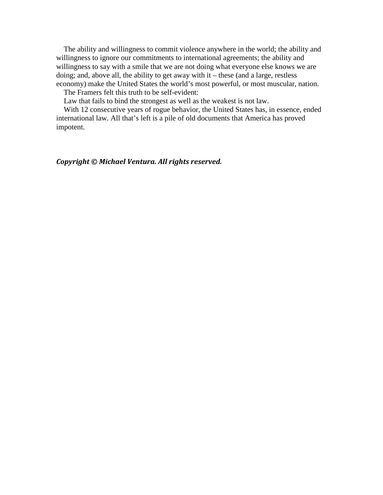The ability and willingness to commit violence anywhere in the world; the ability and willingness to ignore our commitments to international agreements; the ability and willingness to say with a smile that we are not doing what everyone else knows we are doing; and, above all, the ability to get away with it – these (and a large, restless economy) make the United States the world's most powerful, or most muscular, nation.

The Framers felt this truth to be self-evident:

Law that fails to bind the strongest as well as the weakest is not law.

 With 12 consecutive years of rogue behavior, the United States has, in essence, ended international law. All that's left is a pile of old documents that America has proved impotent.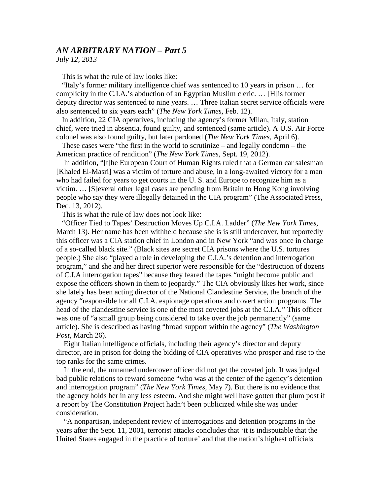*July 12, 2013*

This is what the rule of law looks like:

 "Italy's former military intelligence chief was sentenced to 10 years in prison … for complicity in the C.I.A.'s abduction of an Egyptian Muslim cleric. … [H]is former deputy director was sentenced to nine years. … Three Italian secret service officials were also sentenced to six years each" (*The New York Times,* Feb. 12).

 In addition, 22 CIA operatives, including the agency's former Milan, Italy, station chief, were tried in absentia, found guilty, and sentenced (same article). A U.S. Air Force colonel was also found guilty, but later pardoned (*The New York Times,* April 6).

 These cases were "the first in the world to scrutinize – and legally condemn – the American practice of rendition" (*The New York Times,* Sept. 19, 2012).

 In addition, "[t]he European Court of Human Rights ruled that a German car salesman [Khaled El-Masri] was a victim of torture and abuse, in a long-awaited victory for a man who had failed for years to get courts in the U. S. and Europe to recognize him as a victim. … [S]everal other legal cases are pending from Britain to Hong Kong involving people who say they were illegally detained in the CIA program" (The Associated Press, Dec. 13, 2012).

This is what the rule of law does not look like:

 "Officer Tied to Tapes' Destruction Moves Up C.I.A. Ladder" (*The New York Times,*  March 13). Her name has been withheld because she is is still undercover, but reportedly this officer was a CIA station chief in London and in New York "and was once in charge of a so-called black site." (Black sites are secret CIA prisons where the U.S. tortures people.) She also "played a role in developing the C.I.A.'s detention and interrogation program," and she and her direct superior were responsible for the "destruction of dozens of C.I.A interrogation tapes" because they feared the tapes "might become public and expose the officers shown in them to jeopardy." The CIA obviously likes her work, since she lately has been acting director of the National Clandestine Service, the branch of the agency "responsible for all C.I.A. espionage operations and covert action programs. The head of the clandestine service is one of the most coveted jobs at the C.I.A." This officer was one of "a small group being considered to take over the job permanently" (same article). She is described as having "broad support within the agency" (*The Washington Post,* March 26).

 Eight Italian intelligence officials, including their agency's director and deputy director, are in prison for doing the bidding of CIA operatives who prosper and rise to the top ranks for the same crimes.

 In the end, the unnamed undercover officer did not get the coveted job. It was judged bad public relations to reward someone "who was at the center of the agency's detention and interrogation program" (*The New York Times,* May 7). But there is no evidence that the agency holds her in any less esteem. And she might well have gotten that plum post if a report by The Constitution Project hadn't been publicized while she was under consideration.

 "A nonpartisan, independent review of interrogations and detention programs in the years after the Sept. 11, 2001, terrorist attacks concludes that 'it is indisputable that the United States engaged in the practice of torture' and that the nation's highest officials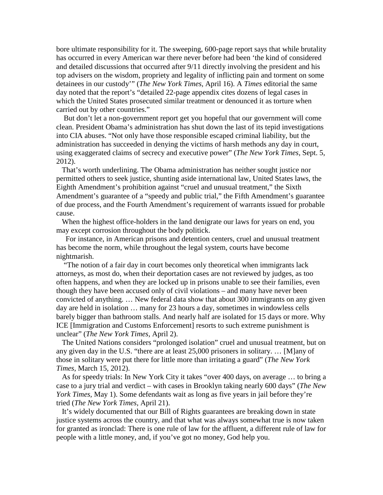bore ultimate responsibility for it. The sweeping, 600-page report says that while brutality has occurred in every American war there never before had been 'the kind of considered and detailed discussions that occurred after 9/11 directly involving the president and his top advisers on the wisdom, propriety and legality of inflicting pain and torment on some detainees in our custody'" (*The New York Times,* April 16). A *Times* editorial the same day noted that the report's "detailed 22-page appendix cites dozens of legal cases in which the United States prosecuted similar treatment or denounced it as torture when carried out by other countries."

 But don't let a non-government report get you hopeful that our government will come clean. President Obama's administration has shut down the last of its tepid investigations into CIA abuses. "Not only have those responsible escaped criminal liability, but the administration has succeeded in denying the victims of harsh methods any day in court, using exaggerated claims of secrecy and executive power" (*The New York Times,* Sept. 5, 2012).

 That's worth underlining. The Obama administration has neither sought justice nor permitted others to seek justice, shunting aside international law, United States laws, the Eighth Amendment's prohibition against "cruel and unusual treatment," the Sixth Amendment's guarantee of a "speedy and public trial," the Fifth Amendment's guarantee of due process, and the Fourth Amendment's requirement of warrants issued for probable cause.

 When the highest office-holders in the land denigrate our laws for years on end, you may except corrosion throughout the body politick.

 For instance, in American prisons and detention centers, cruel and unusual treatment has become the norm, while throughout the legal system, courts have become nightmarish.

 "The notion of a fair day in court becomes only theoretical when immigrants lack attorneys, as most do, when their deportation cases are not reviewed by judges, as too often happens, and when they are locked up in prisons unable to see their families, even though they have been accused only of civil violations – and many have never been convicted of anything. … New federal data show that about 300 immigrants on any given day are held in isolation … many for 23 hours a day, sometimes in windowless cells barely bigger than bathroom stalls. And nearly half are isolated for 15 days or more. Why ICE [Immigration and Customs Enforcement] resorts to such extreme punishment is unclear" (*The New York Times,* April 2).

 The United Nations considers "prolonged isolation" cruel and unusual treatment, but on any given day in the U.S. "there are at least 25,000 prisoners in solitary. … [M]any of those in solitary were put there for little more than irritating a guard" (*The New York Times,* March 15, 2012).

 As for speedy trials: In New York City it takes "over 400 days, on average … to bring a case to a jury trial and verdict – with cases in Brooklyn taking nearly 600 days" (*The New York Times,* May 1). Some defendants wait as long as five years in jail before they're tried (*The New York Times,* April 21).

 It's widely documented that our Bill of Rights guarantees are breaking down in state justice systems across the country, and that what was always somewhat true is now taken for granted as ironclad: There is one rule of law for the affluent, a different rule of law for people with a little money, and, if you've got no money, God help you.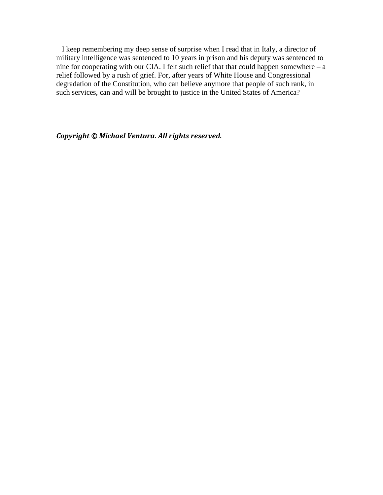I keep remembering my deep sense of surprise when I read that in Italy, a director of military intelligence was sentenced to 10 years in prison and his deputy was sentenced to nine for cooperating with our CIA. I felt such relief that that could happen somewhere  $- a$ relief followed by a rush of grief. For, after years of White House and Congressional degradation of the Constitution, who can believe anymore that people of such rank, in such services, can and will be brought to justice in the United States of America?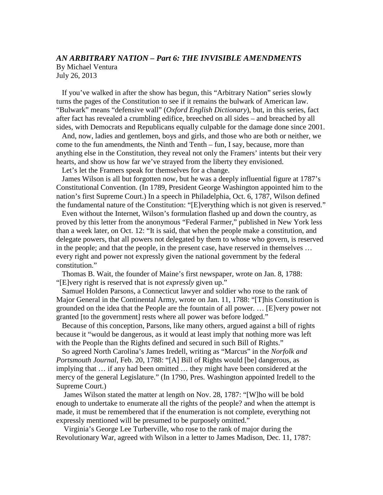# *AN ARBITRARY NATION – Part 6: THE INVISIBLE AMENDMENTS* By Michael Ventura July 26, 2013

 If you've walked in after the show has begun, this "Arbitrary Nation" series slowly turns the pages of the Constitution to see if it remains the bulwark of American law. "Bulwark" means "defensive wall" (*Oxford English Dictionary*), but, in this series, fact after fact has revealed a crumbling edifice, breeched on all sides – and breached by all sides, with Democrats and Republicans equally culpable for the damage done since 2001.

 And, now, ladies and gentlemen, boys and girls, and those who are both or neither, we come to the fun amendments, the Ninth and Tenth – fun, I say, because, more than anything else in the Constitution, they reveal not only the Framers' intents but their very hearts, and show us how far we've strayed from the liberty they envisioned.

Let's let the Framers speak for themselves for a change.

 James Wilson is all but forgotten now, but he was a deeply influential figure at 1787's Constitutional Convention. (In 1789, President George Washington appointed him to the nation's first Supreme Court.) In a speech in Philadelphia, Oct. 6, 1787, Wilson defined the fundamental nature of the Constitution: "[E]verything which is not given is reserved."

 Even without the Internet, Wilson's formulation flashed up and down the country, as proved by this letter from the anonymous "Federal Farmer," published in New York less than a week later, on Oct. 12: "It is said, that when the people make a constitution, and delegate powers, that all powers not delegated by them to whose who govern, is reserved in the people; and that the people, in the present case, have reserved in themselves … every right and power not expressly given the national government by the federal constitution."

 Thomas B. Wait, the founder of Maine's first newspaper, wrote on Jan. 8, 1788: "[E]very right is reserved that is not *expressly* given up."

 Samuel Holden Parsons, a Connecticut lawyer and soldier who rose to the rank of Major General in the Continental Army, wrote on Jan. 11, 1788: "[T]his Constitution is grounded on the idea that the People are the fountain of all power. … [E]very power not granted [to the government] rests where all power was before lodged."

 Because of this conception, Parsons, like many others, argued against a bill of rights because it "would be dangerous, as it would at least imply that nothing more was left with the People than the Rights defined and secured in such Bill of Rights."

 So agreed North Carolina's James Iredell, writing as "Marcus" in the *Norfolk and Portsmouth Journal,* Feb. 20, 1788: "[A] Bill of Rights would [be] dangerous, as implying that … if any had been omitted … they might have been considered at the mercy of the general Legislature." (In 1790, Pres. Washington appointed Iredell to the Supreme Court.)

 James Wilson stated the matter at length on Nov. 28, 1787: "[W]ho will be bold enough to undertake to enumerate all the rights of the people? and when the attempt is made, it must be remembered that if the enumeration is not complete, everything not expressly mentioned will be presumed to be purposely omitted."

 Virginia's George Lee Turberville, who rose to the rank of major during the Revolutionary War, agreed with Wilson in a letter to James Madison, Dec. 11, 1787: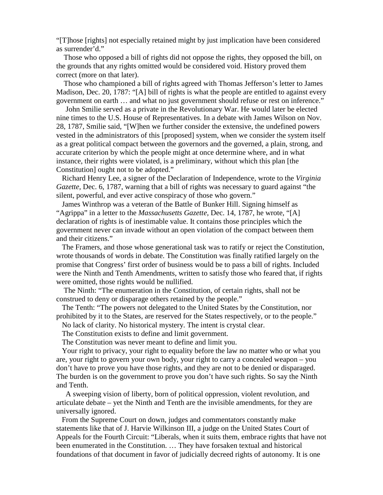"[T]hose [rights] not especially retained might by just implication have been considered as surrender'd."

 Those who opposed a bill of rights did not oppose the rights, they opposed the bill, on the grounds that any rights omitted would be considered void. History proved them correct (more on that later).

 Those who championed a bill of rights agreed with Thomas Jefferson's letter to James Madison, Dec. 20, 1787: "[A] bill of rights is what the people are entitled to against every government on earth … and what no just government should refuse or rest on inference."

 John Smilie served as a private in the Revolutionary War. He would later be elected nine times to the U.S. House of Representatives. In a debate with James Wilson on Nov. 28, 1787, Smilie said, "[W]hen we further consider the extensive, the undefined powers vested in the administrators of this [proposed] system, when we consider the system itself as a great political compact between the governors and the governed, a plain, strong, and accurate criterion by which the people might at once determine where, and in what instance, their rights were violated, is a preliminary, without which this plan [the Constitution] ought not to be adopted."

 Richard Henry Lee, a signer of the Declaration of Independence, wrote to the *Virginia Gazette,* Dec. 6, 1787, warning that a bill of rights was necessary to guard against "the silent, powerful, and ever active conspiracy of those who govern."

 James Winthrop was a veteran of the Battle of Bunker Hill. Signing himself as "Agrippa" in a letter to the *Massachusetts Gazette,* Dec. 14, 1787, he wrote, "[A] declaration of rights is of inestimable value. It contains those principles which the government never can invade without an open violation of the compact between them and their citizens."

 The Framers, and those whose generational task was to ratify or reject the Constitution, wrote thousands of words in debate. The Constitution was finally ratified largely on the promise that Congress' first order of business would be to pass a bill of rights. Included were the Ninth and Tenth Amendments, written to satisfy those who feared that, if rights were omitted, those rights would be nullified.

 The Ninth: "The enumeration in the Constitution, of certain rights, shall not be construed to deny or disparage others retained by the people."

 The Tenth: "The powers not delegated to the United States by the Constitution, nor prohibited by it to the States, are reserved for the States respectively, or to the people."

No lack of clarity. No historical mystery. The intent is crystal clear.

The Constitution exists to define and limit government.

The Constitution was never meant to define and limit you.

 Your right to privacy, your right to equality before the law no matter who or what you are, your right to govern your own body, your right to carry a concealed weapon – you don't have to prove you have those rights, and they are not to be denied or disparaged. The burden is on the government to prove you don't have such rights. So say the Ninth and Tenth.

 A sweeping vision of liberty, born of political oppression, violent revolution, and articulate debate – yet the Ninth and Tenth are the invisible amendments, for they are universally ignored.

 From the Supreme Court on down, judges and commentators constantly make statements like that of J. Harvie Wilkinson III, a judge on the United States Court of Appeals for the Fourth Circuit: "Liberals, when it suits them, embrace rights that have not been enumerated in the Constitution. … They have forsaken textual and historical foundations of that document in favor of judicially decreed rights of autonomy. It is one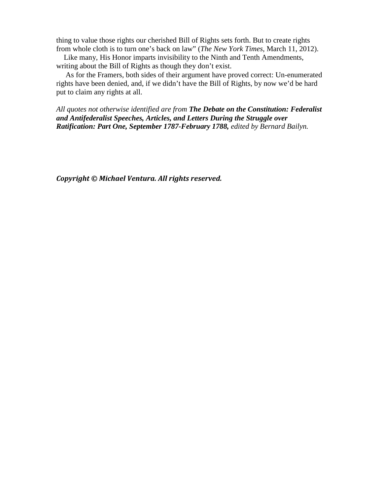thing to value those rights our cherished Bill of Rights sets forth. But to create rights from whole cloth is to turn one's back on law" (*The New York Times,* March 11, 2012).

 Like many, His Honor imparts invisibility to the Ninth and Tenth Amendments, writing about the Bill of Rights as though they don't exist.

 As for the Framers, both sides of their argument have proved correct: Un-enumerated rights have been denied, and, if we didn't have the Bill of Rights, by now we'd be hard put to claim any rights at all.

*All quotes not otherwise identified are from The Debate on the Constitution: Federalist and Antifederalist Speeches, Articles, and Letters During the Struggle over Ratification: Part One, September 1787-February 1788, edited by Bernard Bailyn.*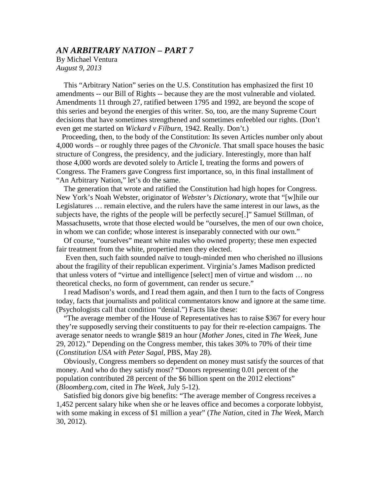## *AN ARBITRARY NATION – PART 7*

By Michael Ventura *August 9, 2013*

 This "Arbitrary Nation" series on the U.S. Constitution has emphasized the first 10 amendments -- our Bill of Rights -- because they are the most vulnerable and violated. Amendments 11 through 27, ratified between 1795 and 1992, are beyond the scope of this series and beyond the energies of this writer. So, too, are the many Supreme Court decisions that have sometimes strengthened and sometimes enfeebled our rights. (Don't even get me started on *Wickard v Filburn,* 1942. Really. Don't.)

 Proceeding, then, to the body of the Constitution: Its seven Articles number only about 4,000 words – or roughly three pages of the *Chronicle.* That small space houses the basic structure of Congress, the presidency, and the judiciary. Interestingly, more than half those 4,000 words are devoted solely to Article I, treating the forms and powers of Congress. The Framers gave Congress first importance, so, in this final installment of "An Arbitrary Nation," let's do the same.

 The generation that wrote and ratified the Constitution had high hopes for Congress. New York's Noah Webster, originator of *Webster's Dictionary,* wrote that "[w]hile our Legislatures … remain elective, and the rulers have the same interest in our laws, as the subjects have, the rights of the people will be perfectly secure[.]" Samuel Stillman, of Massachusetts, wrote that those elected would be "ourselves, the men of our own choice, in whom we can confide; whose interest is inseparably connected with our own."

 Of course, "ourselves" meant white males who owned property; these men expected fair treatment from the white, propertied men they elected.

 Even then, such faith sounded naïve to tough-minded men who cherished no illusions about the fragility of their republican experiment. Virginia's James Madison predicted that unless voters of "virtue and intelligence [select] men of virtue and wisdom … no theoretical checks, no form of government, can render us secure."

 I read Madison's words, and I read them again, and then I turn to the facts of Congress today, facts that journalists and political commentators know and ignore at the same time. (Psychologists call that condition "denial.") Facts like these:

 "The average member of the House of Representatives has to raise \$367 for every hour they're supposedly serving their constituents to pay for their re-election campaigns. The average senator needs to wrangle \$819 an hour (*Mother Jones,* cited in *The Week,* June 29, 2012)." Depending on the Congress member, this takes 30% to 70% of their time (*Constitution USA with Peter Sagal,* PBS, May 28).

 Obviously, Congress members so dependent on money must satisfy the sources of that money. And who do they satisfy most? "Donors representing 0.01 percent of the population contributed 28 percent of the \$6 billion spent on the 2012 elections" (*Bloomberg.com,* cited in *The Week,* July 5-12).

 Satisfied big donors give big benefits: "The average member of Congress receives a 1,452 percent salary hike when she or he leaves office and becomes a corporate lobbyist, with some making in excess of \$1 million a year" (*The Nation,* cited in *The Week,* March 30, 2012).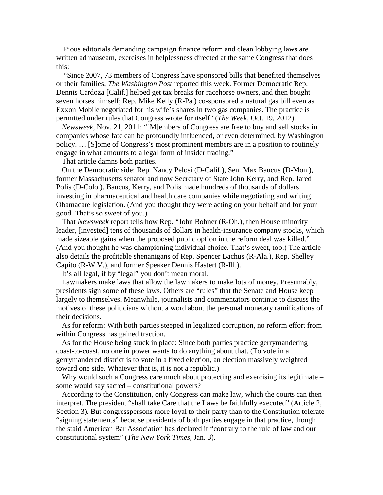Pious editorials demanding campaign finance reform and clean lobbying laws are written ad nauseam*,* exercises in helplessness directed at the same Congress that does this:

 "Since 2007, 73 members of Congress have sponsored bills that benefited themselves or their families, *The Washington Post* reported this week. Former Democratic Rep. Dennis Cardoza [Calif.] helped get tax breaks for racehorse owners, and then bought seven horses himself; Rep. Mike Kelly (R-Pa.) co-sponsored a natural gas bill even as Exxon Mobile negotiated for his wife's shares in two gas companies. The practice is permitted under rules that Congress wrote for itself" (*The Week,* Oct. 19, 2012).

 *Newsweek,* Nov. 21, 2011: "[M]embers of Congress are free to buy and sell stocks in companies whose fate can be profoundly influenced, or even determined, by Washington policy. … [S]ome of Congress's most prominent members are in a position to routinely engage in what amounts to a legal form of insider trading."

That article damns both parties.

 On the Democratic side: Rep. Nancy Pelosi (D-Calif.), Sen. Max Baucus (D-Mon.), former Massachusetts senator and now Secretary of State John Kerry, and Rep. Jared Polis (D-Colo.). Baucus, Kerry, and Polis made hundreds of thousands of dollars investing in pharmaceutical and health care companies while negotiating and writing Obamacare legislation. (And you thought they were acting on your behalf and for your good. That's so sweet of you.)

 That *Newsweek* report tells how Rep. "John Bohner (R-Oh.), then House minority leader, [invested] tens of thousands of dollars in health-insurance company stocks, which made sizeable gains when the proposed public option in the reform deal was killed." (And you thought he was championing individual choice. That's sweet, too.) The article also details the profitable shenanigans of Rep. Spencer Bachus (R-Ala.), Rep. Shelley Capito (R-W.V.), and former Speaker Dennis Hastert (R-Ill.).

It's all legal, if by "legal" you don't mean moral.

 Lawmakers make laws that allow the lawmakers to make lots of money. Presumably, presidents sign some of these laws. Others are "rules" that the Senate and House keep largely to themselves. Meanwhile, journalists and commentators continue to discuss the motives of these politicians without a word about the personal monetary ramifications of their decisions.

 As for reform: With both parties steeped in legalized corruption, no reform effort from within Congress has gained traction.

 As for the House being stuck in place: Since both parties practice gerrymandering coast-to-coast, no one in power wants to do anything about that. (To vote in a gerrymandered district is to vote in a fixed election, an election massively weighted toward one side. Whatever that is, it is not a republic.)

Why would such a Congress care much about protecting and exercising its legitimate – some would say sacred – constitutional powers?

 According to the Constitution, only Congress can make law, which the courts can then interpret. The president "shall take Care that the Laws be faithfully executed" (Article 2, Section 3). But congresspersons more loyal to their party than to the Constitution tolerate "signing statements" because presidents of both parties engage in that practice, though the staid American Bar Association has declared it "contrary to the rule of law and our constitutional system" (*The New York Times,* Jan. 3).